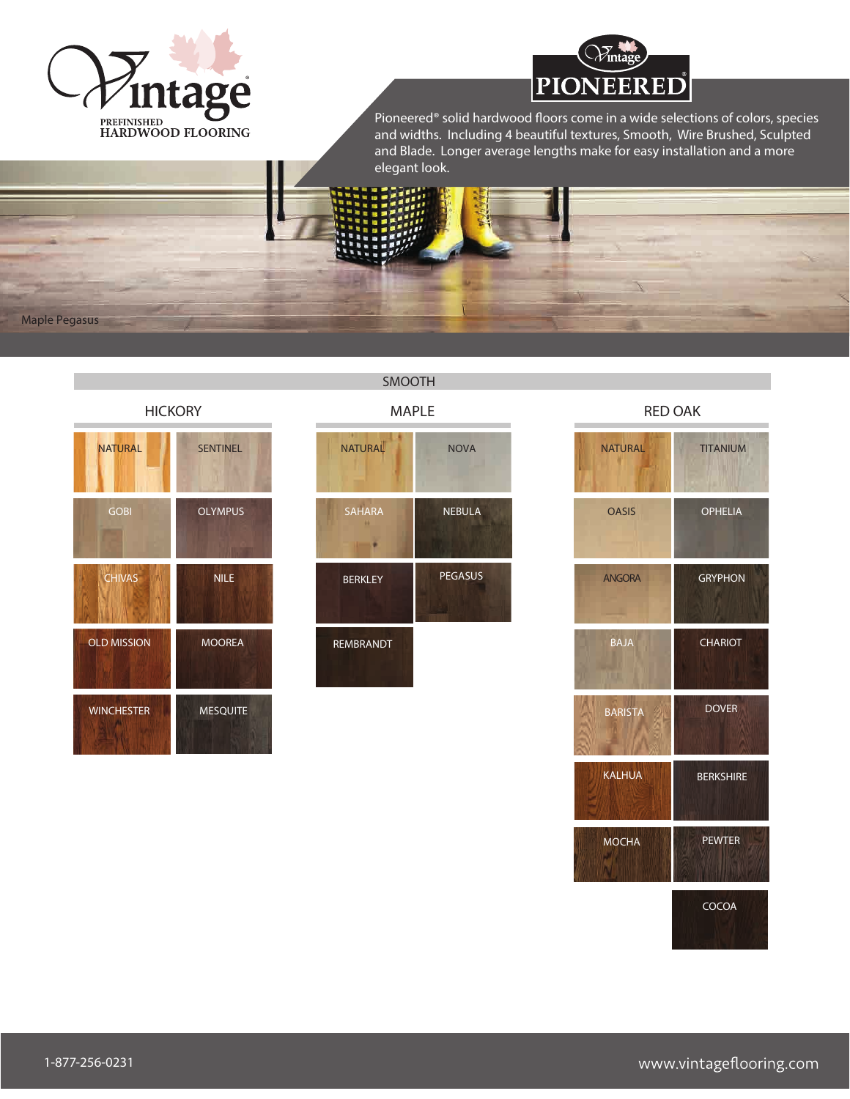



Pioneered® solid hardwood floors come in a wide selections of colors, species and widths. Including 4 beautiful textures, Smooth, Wire Brushed, Sculpted and Blade. Longer average lengths make for easy installation and a more elegant look.

Maple Pegasus

**HICKORY** 

| <b>NATURAL</b>     | <b>SENTINEL</b> |
|--------------------|-----------------|
| <b>GOBI</b>        | <b>OLYMPUS</b>  |
| <b>CHIVAS</b>      | <b>NILE</b>     |
| <b>OLD MISSION</b> | <b>MOOREA</b>   |
| <b>WINCHESTER</b>  | <b>MESQUITE</b> |

MAPLE **NATURAL** NOVA SAHARA NEBULA ٠ BERKLEY PEGASUS REMBRANDT

SMOOTH

RED OAK

| <b>NATURAL</b> | <b>TITANIUM</b>  |
|----------------|------------------|
| <b>OASIS</b>   | <b>OPHELIA</b>   |
| <b>ANGORA</b>  | <b>GRYPHON</b>   |
| <b>BAJA</b>    | <b>CHARIOT</b>   |
| <b>BARISTA</b> | <b>DOVER</b>     |
| <b>KALHUA</b>  | <b>BERKSHIRE</b> |
| <b>MOCHA</b>   | <b>PEWTER</b>    |
|                | COCOA            |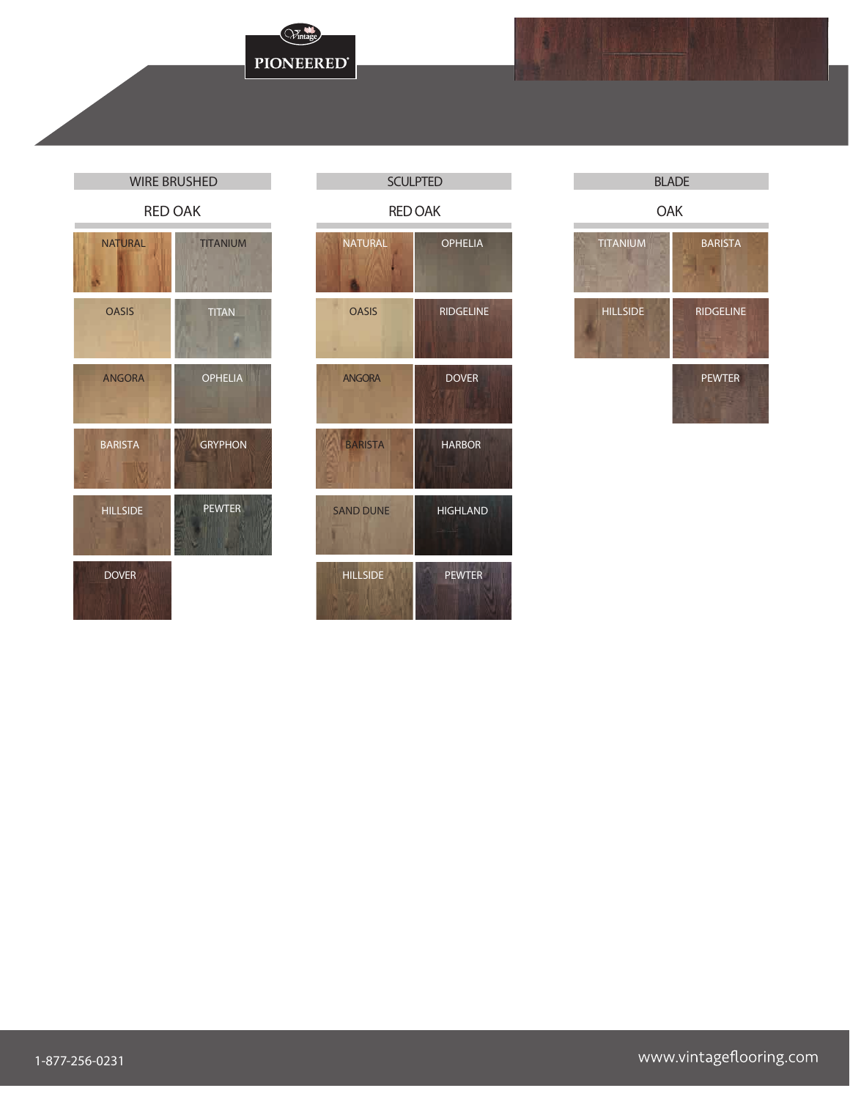## WIRE BRUSHED **SCULPTED** SCULPTED

| <b>NATURAL</b>  | <b>TITANIUM</b> |
|-----------------|-----------------|
| <b>OASIS</b>    | <b>TITAN</b>    |
| <b>ANGORA</b>   | <b>OPHELIA</b>  |
| <b>BARISTA</b>  | <b>GRYPHON</b>  |
| <b>HILLSIDE</b> | <b>PEWTER</b>   |
| <b>DOVER</b>    |                 |

Wintage

**PIONEERED®** 



### BLADE

OAK